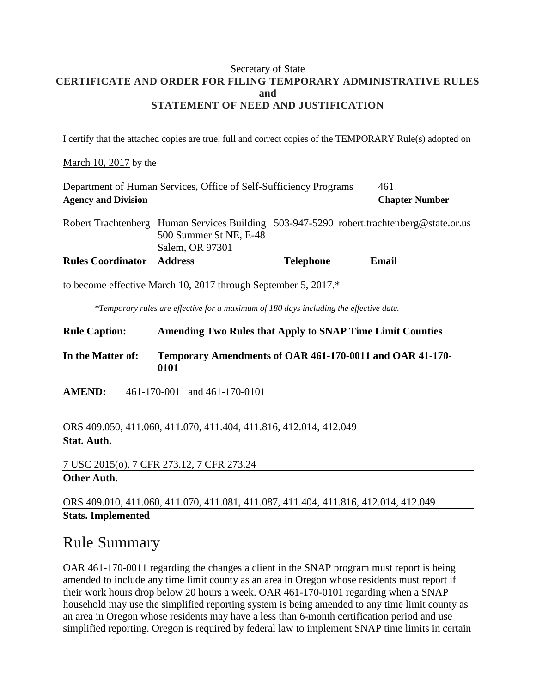#### Secretary of State **CERTIFICATE AND ORDER FOR FILING TEMPORARY ADMINISTRATIVE RULES and STATEMENT OF NEED AND JUSTIFICATION**

I certify that the attached copies are true, full and correct copies of the TEMPORARY Rule(s) adopted on

#### March 10, 2017 by the

| Department of Human Services, Office of Self-Sufficiency Programs |                                           |                  | 461                                                                                      |
|-------------------------------------------------------------------|-------------------------------------------|------------------|------------------------------------------------------------------------------------------|
| <b>Agency and Division</b>                                        |                                           |                  | <b>Chapter Number</b>                                                                    |
|                                                                   | 500 Summer St NE, E-48<br>Salem, OR 97301 |                  | Robert Trachtenberg Human Services Building 503-947-5290 robert.trachtenberg@state.or.us |
| <b>Rules Coordinator</b>                                          | <b>Address</b>                            | <b>Telephone</b> | Email                                                                                    |
| to become effective March 10, 2017 through September 5, 2017.*    |                                           |                  |                                                                                          |

*\*Temporary rules are effective for a maximum of 180 days including the effective date.*

**Rule Caption: Amending Two Rules that Apply to SNAP Time Limit Counties**

**In the Matter of: Temporary Amendments of OAR 461-170-0011 and OAR 41-170- 0101**

**AMEND:** 461-170-0011 and 461-170-0101

ORS 409.050, 411.060, 411.070, 411.404, 411.816, 412.014, 412.049 **Stat. Auth.**

7 USC 2015(o), 7 CFR 273.12, 7 CFR 273.24 **Other Auth.**

ORS 409.010, 411.060, 411.070, 411.081, 411.087, 411.404, 411.816, 412.014, 412.049 **Stats. Implemented**

### Rule Summary

OAR 461-170-0011 regarding the changes a client in the SNAP program must report is being amended to include any time limit county as an area in Oregon whose residents must report if their work hours drop below 20 hours a week. OAR 461-170-0101 regarding when a SNAP household may use the simplified reporting system is being amended to any time limit county as an area in Oregon whose residents may have a less than 6-month certification period and use simplified reporting. Oregon is required by federal law to implement SNAP time limits in certain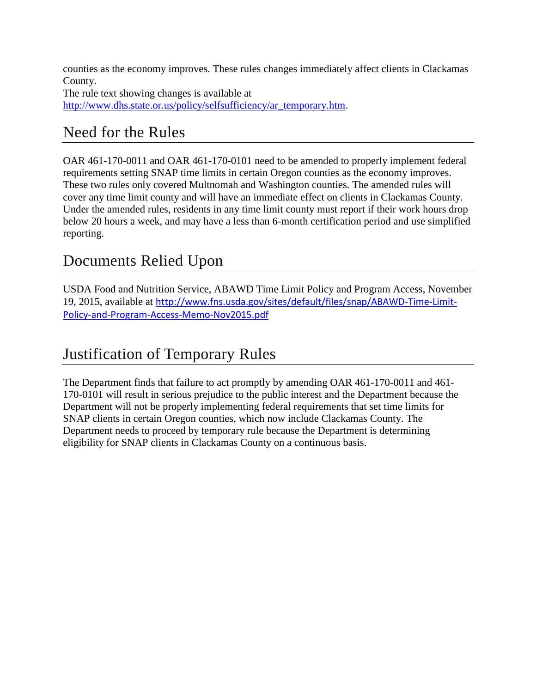counties as the economy improves. These rules changes immediately affect clients in Clackamas County. The rule text showing changes is available at [http://www.dhs.state.or.us/policy/selfsufficiency/ar\\_temporary.htm.](http://www.dhs.state.or.us/policy/selfsufficiency/ar_temporary.htm)

## Need for the Rules

OAR 461-170-0011 and OAR 461-170-0101 need to be amended to properly implement federal requirements setting SNAP time limits in certain Oregon counties as the economy improves. These two rules only covered Multnomah and Washington counties. The amended rules will cover any time limit county and will have an immediate effect on clients in Clackamas County. Under the amended rules, residents in any time limit county must report if their work hours drop below 20 hours a week, and may have a less than 6-month certification period and use simplified reporting.

## Documents Relied Upon

USDA Food and Nutrition Service, ABAWD Time Limit Policy and Program Access, November 19, 2015, available at [http://www.fns.usda.gov/sites/default/files/snap/ABAWD-Time-Limit-](http://www.fns.usda.gov/sites/default/files/snap/ABAWD-Time-Limit-Policy-and-Program-Access-Memo-Nov2015.pdf)[Policy-and-Program-Access-Memo-Nov2015.pdf](http://www.fns.usda.gov/sites/default/files/snap/ABAWD-Time-Limit-Policy-and-Program-Access-Memo-Nov2015.pdf)

# Justification of Temporary Rules

The Department finds that failure to act promptly by amending OAR 461-170-0011 and 461- 170-0101 will result in serious prejudice to the public interest and the Department because the Department will not be properly implementing federal requirements that set time limits for SNAP clients in certain Oregon counties, which now include Clackamas County. The Department needs to proceed by temporary rule because the Department is determining eligibility for SNAP clients in Clackamas County on a continuous basis.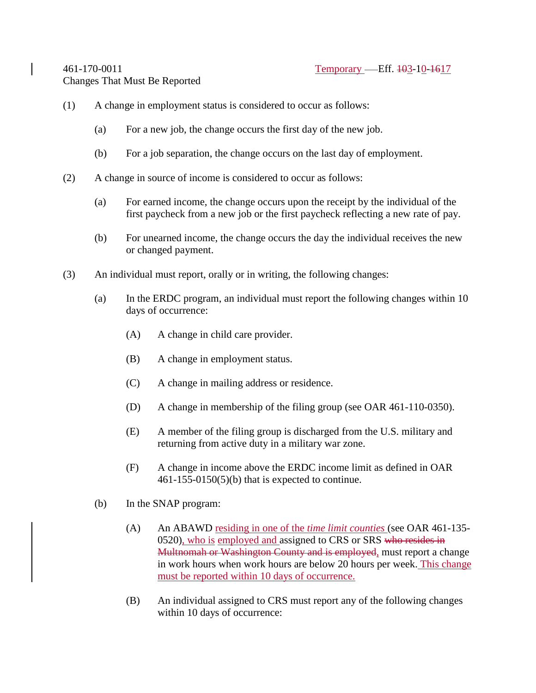- (1) A change in employment status is considered to occur as follows:
	- (a) For a new job, the change occurs the first day of the new job.
	- (b) For a job separation, the change occurs on the last day of employment.
- (2) A change in source of income is considered to occur as follows:
	- (a) For earned income, the change occurs upon the receipt by the individual of the first paycheck from a new job or the first paycheck reflecting a new rate of pay.
	- (b) For unearned income, the change occurs the day the individual receives the new or changed payment.
- (3) An individual must report, orally or in writing, the following changes:
	- (a) In the ERDC program, an individual must report the following changes within 10 days of occurrence:
		- (A) A change in child care provider.
		- (B) A change in employment status.
		- (C) A change in mailing address or residence.
		- (D) A change in membership of the filing group (see OAR 461-110-0350).
		- (E) A member of the filing group is discharged from the U.S. military and returning from active duty in a military war zone.
		- (F) A change in income above the ERDC income limit as defined in OAR 461-155-0150(5)(b) that is expected to continue.
	- (b) In the SNAP program:
		- (A) An ABAWD residing in one of the *time limit counties* (see OAR 461-135- 0520), who is employed and assigned to CRS or SRS who resides in Multnomah or Washington County and is employed, must report a change in work hours when work hours are below 20 hours per week. This change must be reported within 10 days of occurrence.
		- (B) An individual assigned to CRS must report any of the following changes within 10 days of occurrence: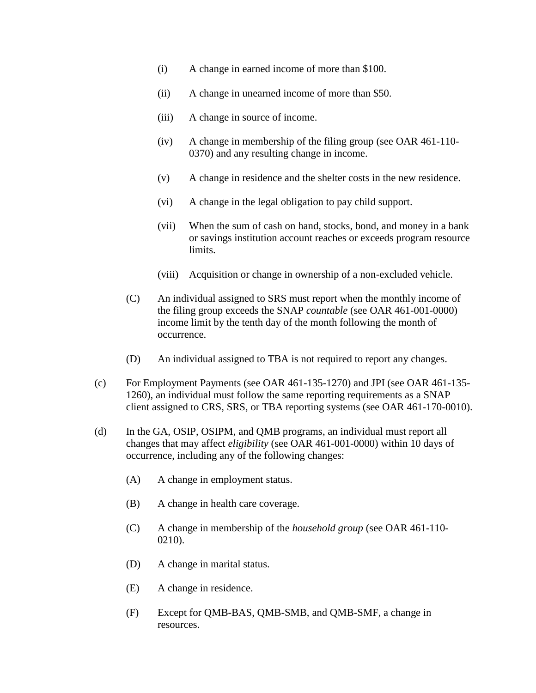- (i) A change in earned income of more than \$100.
- (ii) A change in unearned income of more than \$50.
- (iii) A change in source of income.
- (iv) A change in membership of the filing group (see OAR 461-110- 0370) and any resulting change in income.
- (v) A change in residence and the shelter costs in the new residence.
- (vi) A change in the legal obligation to pay child support.
- (vii) When the sum of cash on hand, stocks, bond, and money in a bank or savings institution account reaches or exceeds program resource limits.
- (viii) Acquisition or change in ownership of a non-excluded vehicle.
- (C) An individual assigned to SRS must report when the monthly income of the filing group exceeds the SNAP *countable* (see OAR 461-001-0000) income limit by the tenth day of the month following the month of occurrence.
- (D) An individual assigned to TBA is not required to report any changes.
- (c) For Employment Payments (see OAR 461-135-1270) and JPI (see OAR 461-135- 1260), an individual must follow the same reporting requirements as a SNAP client assigned to CRS, SRS, or TBA reporting systems (see OAR 461-170-0010).
- (d) In the GA, OSIP, OSIPM, and QMB programs, an individual must report all changes that may affect *eligibility* (see OAR 461-001-0000) within 10 days of occurrence, including any of the following changes:
	- (A) A change in employment status.
	- (B) A change in health care coverage.
	- (C) A change in membership of the *household group* (see OAR 461-110- 0210).
	- (D) A change in marital status.
	- (E) A change in residence.
	- (F) Except for QMB-BAS, QMB-SMB, and QMB-SMF, a change in resources.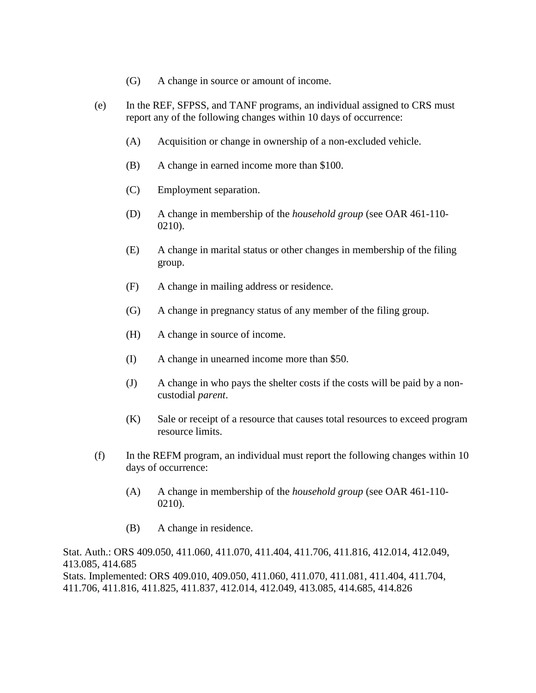- (G) A change in source or amount of income.
- (e) In the REF, SFPSS, and TANF programs, an individual assigned to CRS must report any of the following changes within 10 days of occurrence:
	- (A) Acquisition or change in ownership of a non-excluded vehicle.
	- (B) A change in earned income more than \$100.
	- (C) Employment separation.
	- (D) A change in membership of the *household group* (see OAR 461-110- 0210).
	- (E) A change in marital status or other changes in membership of the filing group.
	- (F) A change in mailing address or residence.
	- (G) A change in pregnancy status of any member of the filing group.
	- (H) A change in source of income.
	- (I) A change in unearned income more than \$50.
	- (J) A change in who pays the shelter costs if the costs will be paid by a noncustodial *parent*.
	- (K) Sale or receipt of a resource that causes total resources to exceed program resource limits.
- (f) In the REFM program, an individual must report the following changes within 10 days of occurrence:
	- (A) A change in membership of the *household group* (see OAR 461-110- 0210).
	- (B) A change in residence.

Stat. Auth.: ORS 409.050, 411.060, 411.070, 411.404, 411.706, 411.816, 412.014, 412.049, 413.085, 414.685 Stats. Implemented: ORS 409.010, 409.050, 411.060, 411.070, 411.081, 411.404, 411.704, 411.706, 411.816, 411.825, 411.837, 412.014, 412.049, 413.085, 414.685, 414.826